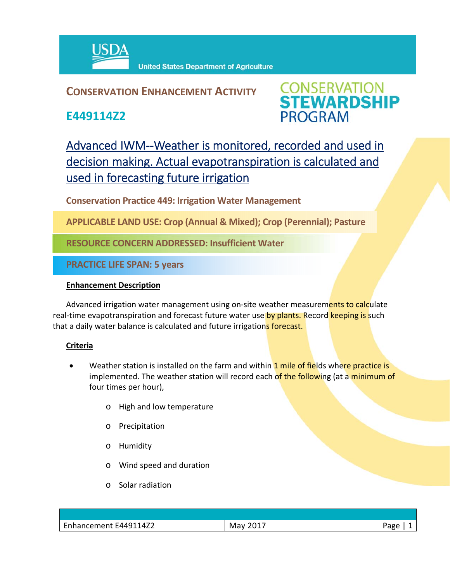

## **CONSERVATION ENHANCEMENT ACTIVITY**

**E449114Z2**



# Advanced IWM--Weather is monitored, recorded and used in decision making. Actual evapotranspiration is calculated and used in forecasting future irrigation

**Conservation Practice 449: Irrigation Water Management** 

**APPLICABLE LAND USE: Crop (Annual & Mixed); Crop (Perennial); Pasture**

**RESOURCE CONCERN ADDRESSED: Insufficient Water**

**PRACTICE LIFE SPAN: 5 years**

#### **Enhancement Description**

Advanced irrigation water management using on-site weather measurements to calculate real-time evapotranspiration and forecast future water use by plants. Record keeping is such that a daily water balance is calculated and future irrigations forecast.

### **Criteria**

- Weather station is installed on the farm and within 1 mile of fields where practice is implemented. The weather station will record each of the following (at a minimum of four times per hour),
	- o High and low temperature
	- o Precipitation
	- o Humidity
	- o Wind speed and duration
	- o Solar radiation

| $\overline{\phantom{0}}$<br>114Z2<br>F4491<br>$\sim$ $\sim$ $\sim$<br>remenl<br><b>Ennancement</b> | 2017<br>May<br><u>_v_,</u> | Jape<br>ັັ<br>- |
|----------------------------------------------------------------------------------------------------|----------------------------|-----------------|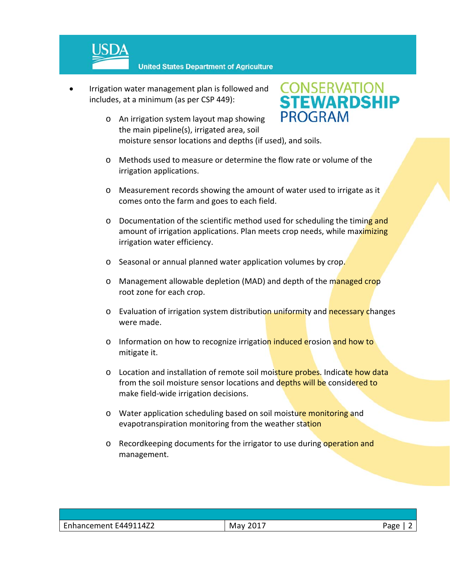

 Irrigation water management plan is followed and includes, at a minimum (as per CSP 449):



- moisture sensor locations and depths (if used), and soils. o Methods used to measure or determine the flow rate or volume of the
- irrigation applications.
- o Measurement records showing the amount of water used to irrigate as it comes onto the farm and goes to each field.
- $\circ$  Documentation of the scientific method used for scheduling the timing and amount of irrigation applications. Plan meets crop needs, while maximizing irrigation water efficiency.
- o Seasonal or annual planned water application volumes by crop.
- o Management allowable depletion (MAD) and depth of the managed crop root zone for each crop.
- o Evaluation of irrigation system distribution uniformity and necessary changes were made.
- o Information on how to recognize irrigation induced erosion and how to mitigate it.
- o Location and installation of remote soil moisture probes. Indicate how data from the soil moisture sensor locations and depths will be considered to make field‐wide irrigation decisions.
- o Water application scheduling based on soil moisture monitoring and evapotranspiration monitoring from the weather station
- o Recordkeeping documents for the irrigator to use during operation and management.

| $101 -$<br>May | Page |
|----------------|------|
|                |      |